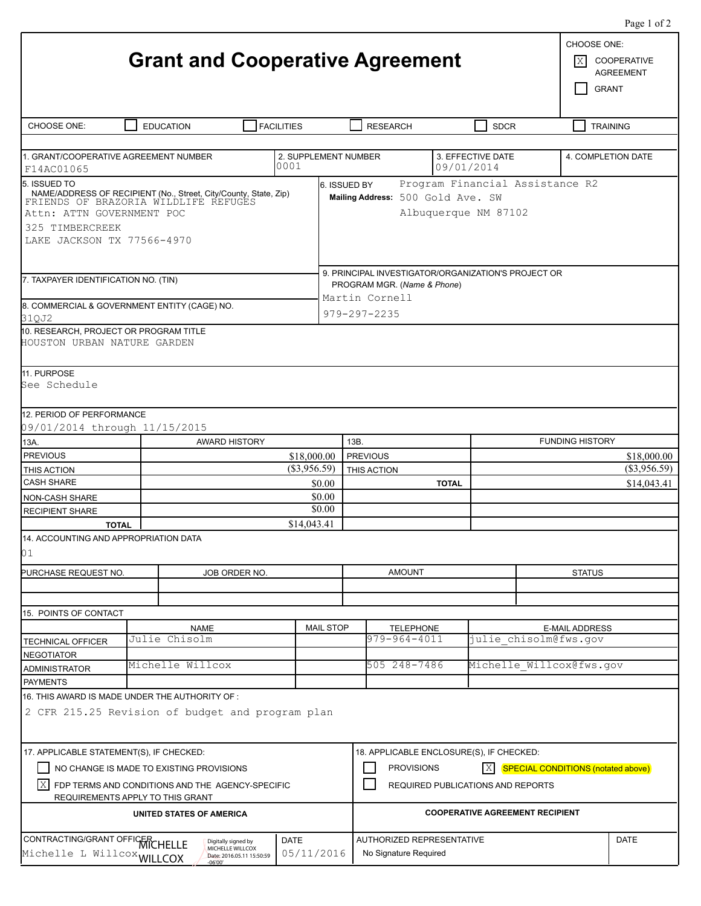|                                                                                                                                                                                                                                                                                                                                      | <b>Grant and Cooperative Agreement</b>                                                              |                                                                |                               |                                                                                                      |                                                                          |                          | CHOOSE ONE:<br>X                               | $1450 + 012$<br><b>COOPERATIVE</b><br><b>AGREEMENT</b><br><b>GRANT</b> |  |  |  |
|--------------------------------------------------------------------------------------------------------------------------------------------------------------------------------------------------------------------------------------------------------------------------------------------------------------------------------------|-----------------------------------------------------------------------------------------------------|----------------------------------------------------------------|-------------------------------|------------------------------------------------------------------------------------------------------|--------------------------------------------------------------------------|--------------------------|------------------------------------------------|------------------------------------------------------------------------|--|--|--|
| CHOOSE ONE:                                                                                                                                                                                                                                                                                                                          | <b>EDUCATION</b>                                                                                    | <b>FACILITIES</b>                                              |                               | <b>RESEARCH</b>                                                                                      |                                                                          | <b>SDCR</b>              |                                                | <b>TRAINING</b>                                                        |  |  |  |
| 1. GRANT/COOPERATIVE AGREEMENT NUMBER<br>0001                                                                                                                                                                                                                                                                                        |                                                                                                     |                                                                |                               | 3. EFFECTIVE DATE<br>2. SUPPLEMENT NUMBER<br>09/01/2014                                              |                                                                          |                          | 4. COMPLETION DATE                             |                                                                        |  |  |  |
| F14AC01065<br>Program Financial Assistance R2<br>5. ISSUED TO<br>6. ISSUED BY<br>NAME/ADDRESS OF RECIPIENT (No., Street, City/County, State, Zip)<br>FRIENDS OF BRAZORIA WILDLIFE REFUGES<br>Mailing Address: 500 Gold Ave. SW<br>Attn: ATTN GOVERNMENT POC<br>Albuquerque NM 87102<br>325 TIMBERCREEK<br>LAKE JACKSON TX 77566-4970 |                                                                                                     |                                                                |                               |                                                                                                      |                                                                          |                          |                                                |                                                                        |  |  |  |
| 7. TAXPAYER IDENTIFICATION NO. (TIN)<br>8. COMMERCIAL & GOVERNMENT ENTITY (CAGE) NO.                                                                                                                                                                                                                                                 |                                                                                                     |                                                                |                               | 9. PRINCIPAL INVESTIGATOR/ORGANIZATION'S PROJECT OR<br>PROGRAM MGR. (Name & Phone)<br>Martin Cornell |                                                                          |                          |                                                |                                                                        |  |  |  |
| 979-297-2235<br>31QJ2<br>10. RESEARCH, PROJECT OR PROGRAM TITLE<br>HOUSTON URBAN NATURE GARDEN<br>11. PURPOSE<br>See Schedule                                                                                                                                                                                                        |                                                                                                     |                                                                |                               |                                                                                                      |                                                                          |                          |                                                |                                                                        |  |  |  |
| 12. PERIOD OF PERFORMANCE<br>09/01/2014 through 11/15/2015                                                                                                                                                                                                                                                                           |                                                                                                     |                                                                |                               |                                                                                                      |                                                                          |                          |                                                |                                                                        |  |  |  |
| 13A.                                                                                                                                                                                                                                                                                                                                 |                                                                                                     | <b>AWARD HISTORY</b>                                           |                               | 13B.                                                                                                 |                                                                          |                          | <b>FUNDING HISTORY</b>                         |                                                                        |  |  |  |
| <b>PREVIOUS</b>                                                                                                                                                                                                                                                                                                                      |                                                                                                     |                                                                | \$18,000.00                   | <b>PREVIOUS</b>                                                                                      |                                                                          |                          | \$18,000.00                                    |                                                                        |  |  |  |
| THIS ACTION                                                                                                                                                                                                                                                                                                                          |                                                                                                     |                                                                | $(\$3,956.59)$<br>THIS ACTION |                                                                                                      | $(\$3,956.59)$                                                           |                          |                                                |                                                                        |  |  |  |
| <b>CASH SHARE</b>                                                                                                                                                                                                                                                                                                                    |                                                                                                     | \$0.00                                                         |                               | <b>TOTAL</b>                                                                                         | \$14,043.41                                                              |                          |                                                |                                                                        |  |  |  |
| <b>NON-CASH SHARE</b>                                                                                                                                                                                                                                                                                                                |                                                                                                     |                                                                | \$0.00                        |                                                                                                      |                                                                          |                          |                                                |                                                                        |  |  |  |
| <b>RECIPIENT SHARE</b>                                                                                                                                                                                                                                                                                                               |                                                                                                     |                                                                | \$0.00<br>\$14,043.41         |                                                                                                      |                                                                          |                          |                                                |                                                                        |  |  |  |
| <b>TOTAL</b><br>14. ACCOUNTING AND APPROPRIATION DATA<br>01                                                                                                                                                                                                                                                                          |                                                                                                     |                                                                |                               |                                                                                                      |                                                                          |                          |                                                |                                                                        |  |  |  |
| PURCHASE REQUEST NO.                                                                                                                                                                                                                                                                                                                 |                                                                                                     | JOB ORDER NO.                                                  | <b>AMOUNT</b>                 |                                                                                                      |                                                                          | <b>STATUS</b>            |                                                |                                                                        |  |  |  |
|                                                                                                                                                                                                                                                                                                                                      |                                                                                                     |                                                                |                               |                                                                                                      |                                                                          |                          |                                                |                                                                        |  |  |  |
| 15. POINTS OF CONTACT                                                                                                                                                                                                                                                                                                                |                                                                                                     |                                                                |                               |                                                                                                      |                                                                          |                          |                                                |                                                                        |  |  |  |
|                                                                                                                                                                                                                                                                                                                                      | <b>NAME</b><br>Julie Chisolm                                                                        |                                                                | <b>MAIL STOP</b>              | <b>TELEPHONE</b><br>979-964-4011                                                                     |                                                                          |                          | <b>E-MAIL ADDRESS</b><br>julie chisolm@fws.gov |                                                                        |  |  |  |
| <b>TECHNICAL OFFICER</b><br><b>NEGOTIATOR</b>                                                                                                                                                                                                                                                                                        |                                                                                                     |                                                                |                               |                                                                                                      |                                                                          |                          |                                                |                                                                        |  |  |  |
| ADMINISTRATOR                                                                                                                                                                                                                                                                                                                        |                                                                                                     | Michelle Willcox                                               |                               | 505 248-7486                                                                                         |                                                                          | Michelle Willcox@fws.gov |                                                |                                                                        |  |  |  |
| <b>PAYMENTS</b>                                                                                                                                                                                                                                                                                                                      |                                                                                                     |                                                                |                               |                                                                                                      |                                                                          |                          |                                                |                                                                        |  |  |  |
|                                                                                                                                                                                                                                                                                                                                      | 16. THIS AWARD IS MADE UNDER THE AUTHORITY OF :<br>2 CFR 215.25 Revision of budget and program plan |                                                                |                               |                                                                                                      |                                                                          |                          |                                                |                                                                        |  |  |  |
| 17. APPLICABLE STATEMENT(S), IF CHECKED:                                                                                                                                                                                                                                                                                             |                                                                                                     |                                                                |                               |                                                                                                      | 18. APPLICABLE ENCLOSURE(S), IF CHECKED:                                 |                          |                                                |                                                                        |  |  |  |
| NO CHANGE IS MADE TO EXISTING PROVISIONS                                                                                                                                                                                                                                                                                             |                                                                                                     | <b>PROVISIONS</b><br> X <br>SPECIAL CONDITIONS (notated above) |                               |                                                                                                      |                                                                          |                          |                                                |                                                                        |  |  |  |
| IX  <br>FDP TERMS AND CONDITIONS AND THE AGENCY-SPECIFIC                                                                                                                                                                                                                                                                             |                                                                                                     | REQUIRED PUBLICATIONS AND REPORTS                              |                               |                                                                                                      |                                                                          |                          |                                                |                                                                        |  |  |  |
| REQUIREMENTS APPLY TO THIS GRANT                                                                                                                                                                                                                                                                                                     | <b>COOPERATIVE AGREEMENT RECIPIENT</b>                                                              |                                                                |                               |                                                                                                      |                                                                          |                          |                                                |                                                                        |  |  |  |
| CONTRACTING/GRANT OFFICER CHELLE<br><b>DATE</b><br>Digitally signed by<br>MICHELLE WILLCOX<br>Michelle L Willcox WILLCOX<br>05/11/2016<br>Date: 2016.05.11 15:50:59                                                                                                                                                                  |                                                                                                     |                                                                |                               |                                                                                                      | <b>AUTHORIZED REPRESENTATIVE</b><br><b>DATE</b><br>No Signature Required |                          |                                                |                                                                        |  |  |  |